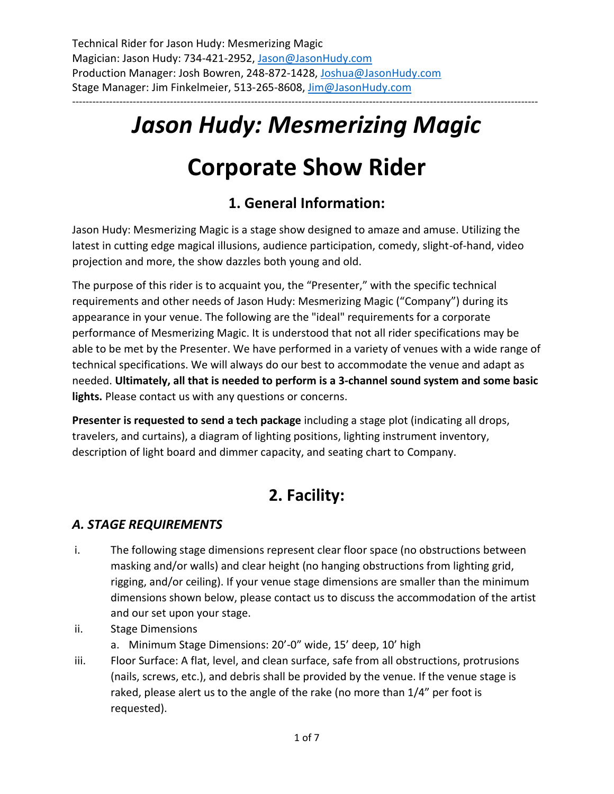## *Jason Hudy: Mesmerizing Magic*

------------------------------------------------------------------------------------------------------------------------------------------

# **Corporate Show Rider**

## **1. General Information:**

Jason Hudy: Mesmerizing Magic is a stage show designed to amaze and amuse. Utilizing the latest in cutting edge magical illusions, audience participation, comedy, slight-of-hand, video projection and more, the show dazzles both young and old.

The purpose of this rider is to acquaint you, the "Presenter," with the specific technical requirements and other needs of Jason Hudy: Mesmerizing Magic ("Company") during its appearance in your venue. The following are the "ideal" requirements for a corporate performance of Mesmerizing Magic. It is understood that not all rider specifications may be able to be met by the Presenter. We have performed in a variety of venues with a wide range of technical specifications. We will always do our best to accommodate the venue and adapt as needed. **Ultimately, all that is needed to perform is a 3-channel sound system and some basic lights.** Please contact us with any questions or concerns.

**Presenter is requested to send a tech package** including a stage plot (indicating all drops, travelers, and curtains), a diagram of lighting positions, lighting instrument inventory, description of light board and dimmer capacity, and seating chart to Company.

## **2. Facility:**

#### *A. STAGE REQUIREMENTS*

- i. The following stage dimensions represent clear floor space (no obstructions between masking and/or walls) and clear height (no hanging obstructions from lighting grid, rigging, and/or ceiling). If your venue stage dimensions are smaller than the minimum dimensions shown below, please contact us to discuss the accommodation of the artist and our set upon your stage.
- ii. Stage Dimensions
	- a. Minimum Stage Dimensions: 20'-0" wide, 15' deep, 10' high
- iii. Floor Surface: A flat, level, and clean surface, safe from all obstructions, protrusions (nails, screws, etc.), and debris shall be provided by the venue. If the venue stage is raked, please alert us to the angle of the rake (no more than 1/4" per foot is requested).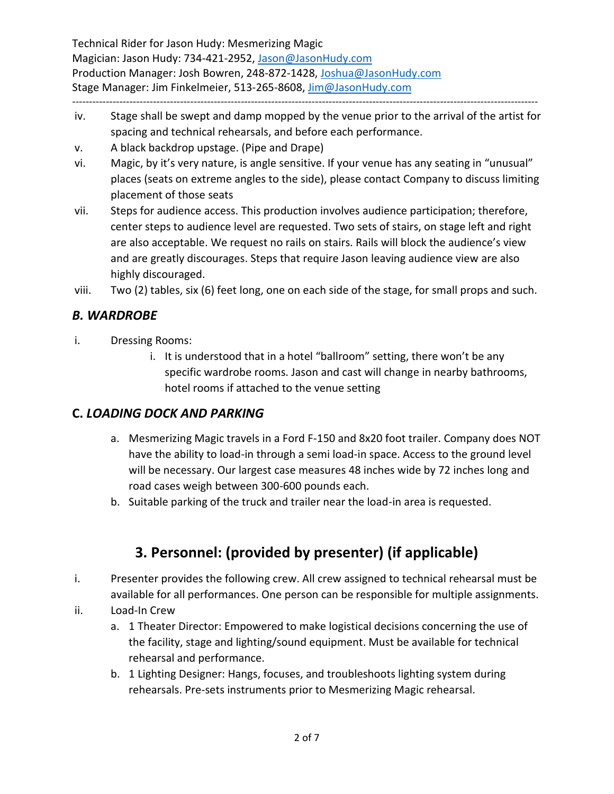Technical Rider for Jason Hudy: Mesmerizing Magic Magician: Jason Hudy: 734-421-2952, [Jason@JasonHudy.com](mailto:Jason@JasonHudy.com) Production Manager: Josh Bowren, 248-872-1428[, Joshua@JasonHudy.com](mailto:Joshua@JasonHudy.com) Stage Manager: Jim Finkelmeier, 513-265-8608, [Jim@JasonHudy.com](mailto:Jim@JasonHudy.com)

------------------------------------------------------------------------------------------------------------------------------------------

- iv. Stage shall be swept and damp mopped by the venue prior to the arrival of the artist for spacing and technical rehearsals, and before each performance.
- v. A black backdrop upstage. (Pipe and Drape)
- vi. Magic, by it's very nature, is angle sensitive. If your venue has any seating in "unusual" places (seats on extreme angles to the side), please contact Company to discuss limiting placement of those seats
- vii. Steps for audience access. This production involves audience participation; therefore, center steps to audience level are requested. Two sets of stairs, on stage left and right are also acceptable. We request no rails on stairs. Rails will block the audience's view and are greatly discourages. Steps that require Jason leaving audience view are also highly discouraged.

viii. Two (2) tables, six (6) feet long, one on each side of the stage, for small props and such.

#### *B. WARDROBE*

- i. Dressing Rooms:
	- i. It is understood that in a hotel "ballroom" setting, there won't be any specific wardrobe rooms. Jason and cast will change in nearby bathrooms, hotel rooms if attached to the venue setting

#### **C.** *LOADING DOCK AND PARKING*

- a. Mesmerizing Magic travels in a Ford F-150 and 8x20 foot trailer. Company does NOT have the ability to load-in through a semi load-in space. Access to the ground level will be necessary. Our largest case measures 48 inches wide by 72 inches long and road cases weigh between 300-600 pounds each.
- b. Suitable parking of the truck and trailer near the load-in area is requested.

### **3. Personnel: (provided by presenter) (if applicable)**

- i. Presenter provides the following crew. All crew assigned to technical rehearsal must be available for all performances. One person can be responsible for multiple assignments.
- ii. Load-In Crew
	- a. 1 Theater Director: Empowered to make logistical decisions concerning the use of the facility, stage and lighting/sound equipment. Must be available for technical rehearsal and performance.
	- b. 1 Lighting Designer: Hangs, focuses, and troubleshoots lighting system during rehearsals. Pre-sets instruments prior to Mesmerizing Magic rehearsal.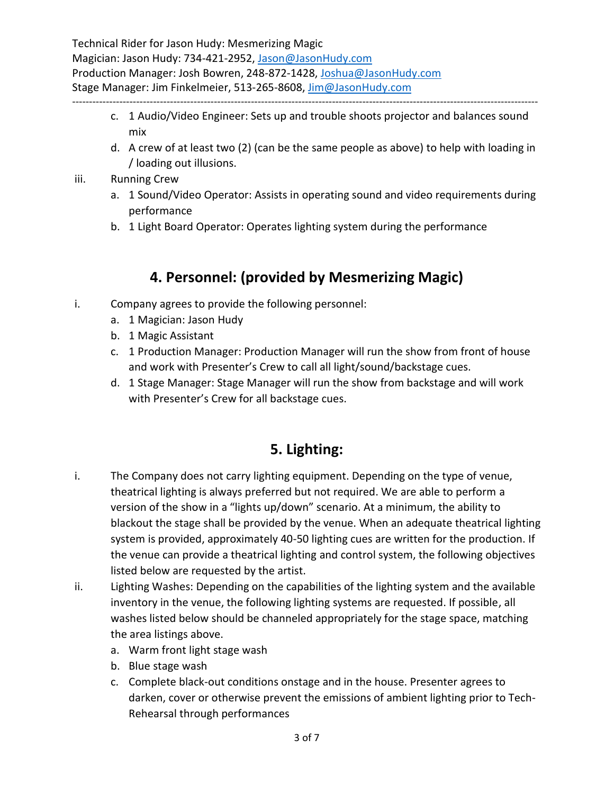Technical Rider for Jason Hudy: Mesmerizing Magic Magician: Jason Hudy: 734-421-2952, [Jason@JasonHudy.com](mailto:Jason@JasonHudy.com) Production Manager: Josh Bowren, 248-872-1428[, Joshua@JasonHudy.com](mailto:Joshua@JasonHudy.com) Stage Manager: Jim Finkelmeier, 513-265-8608, [Jim@JasonHudy.com](mailto:Jim@JasonHudy.com) ------------------------------------------------------------------------------------------------------------------------------------------

- c. 1 Audio/Video Engineer: Sets up and trouble shoots projector and balances sound mix
- d. A crew of at least two (2) (can be the same people as above) to help with loading in / loading out illusions.
- iii. Running Crew
	- a. 1 Sound/Video Operator: Assists in operating sound and video requirements during performance
	- b. 1 Light Board Operator: Operates lighting system during the performance

### **4. Personnel: (provided by Mesmerizing Magic)**

- i. Company agrees to provide the following personnel:
	- a. 1 Magician: Jason Hudy
	- b. 1 Magic Assistant
	- c. 1 Production Manager: Production Manager will run the show from front of house and work with Presenter's Crew to call all light/sound/backstage cues.
	- d. 1 Stage Manager: Stage Manager will run the show from backstage and will work with Presenter's Crew for all backstage cues.

### **5. Lighting:**

- i. The Company does not carry lighting equipment. Depending on the type of venue, theatrical lighting is always preferred but not required. We are able to perform a version of the show in a "lights up/down" scenario. At a minimum, the ability to blackout the stage shall be provided by the venue. When an adequate theatrical lighting system is provided, approximately 40-50 lighting cues are written for the production. If the venue can provide a theatrical lighting and control system, the following objectives listed below are requested by the artist.
- ii. Lighting Washes: Depending on the capabilities of the lighting system and the available inventory in the venue, the following lighting systems are requested. If possible, all washes listed below should be channeled appropriately for the stage space, matching the area listings above.
	- a. Warm front light stage wash
	- b. Blue stage wash
	- c. Complete black-out conditions onstage and in the house. Presenter agrees to darken, cover or otherwise prevent the emissions of ambient lighting prior to Tech-Rehearsal through performances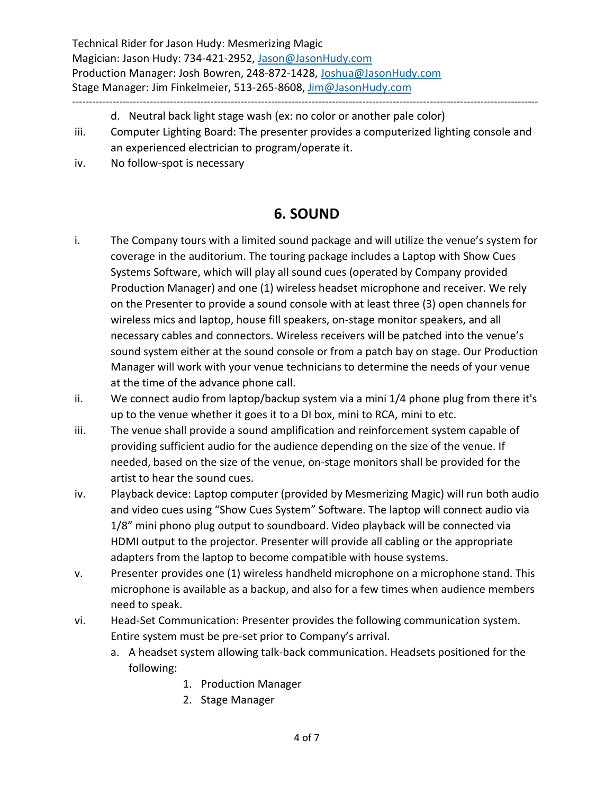Technical Rider for Jason Hudy: Mesmerizing Magic Magician: Jason Hudy: 734-421-2952, [Jason@JasonHudy.com](mailto:Jason@JasonHudy.com) Production Manager: Josh Bowren, 248-872-1428[, Joshua@JasonHudy.com](mailto:Joshua@JasonHudy.com) Stage Manager: Jim Finkelmeier, 513-265-8608, [Jim@JasonHudy.com](mailto:Jim@JasonHudy.com) ------------------------------------------------------------------------------------------------------------------------------------------

- d. Neutral back light stage wash (ex: no color or another pale color)
- iii. Computer Lighting Board: The presenter provides a computerized lighting console and an experienced electrician to program/operate it.
- iv. No follow-spot is necessary

#### **6. SOUND**

- i. The Company tours with a limited sound package and will utilize the venue's system for coverage in the auditorium. The touring package includes a Laptop with Show Cues Systems Software, which will play all sound cues (operated by Company provided Production Manager) and one (1) wireless headset microphone and receiver. We rely on the Presenter to provide a sound console with at least three (3) open channels for wireless mics and laptop, house fill speakers, on-stage monitor speakers, and all necessary cables and connectors. Wireless receivers will be patched into the venue's sound system either at the sound console or from a patch bay on stage. Our Production Manager will work with your venue technicians to determine the needs of your venue at the time of the advance phone call.
- ii. We connect audio from laptop/backup system via a mini 1/4 phone plug from there it's up to the venue whether it goes it to a DI box, mini to RCA, mini to etc.
- iii. The venue shall provide a sound amplification and reinforcement system capable of providing sufficient audio for the audience depending on the size of the venue. If needed, based on the size of the venue, on-stage monitors shall be provided for the artist to hear the sound cues.
- iv. Playback device: Laptop computer (provided by Mesmerizing Magic) will run both audio and video cues using "Show Cues System" Software. The laptop will connect audio via 1/8" mini phono plug output to soundboard. Video playback will be connected via HDMI output to the projector. Presenter will provide all cabling or the appropriate adapters from the laptop to become compatible with house systems.
- v. Presenter provides one (1) wireless handheld microphone on a microphone stand. This microphone is available as a backup, and also for a few times when audience members need to speak.
- vi. Head-Set Communication: Presenter provides the following communication system. Entire system must be pre-set prior to Company's arrival.
	- a. A headset system allowing talk-back communication. Headsets positioned for the following:
		- 1. Production Manager
		- 2. Stage Manager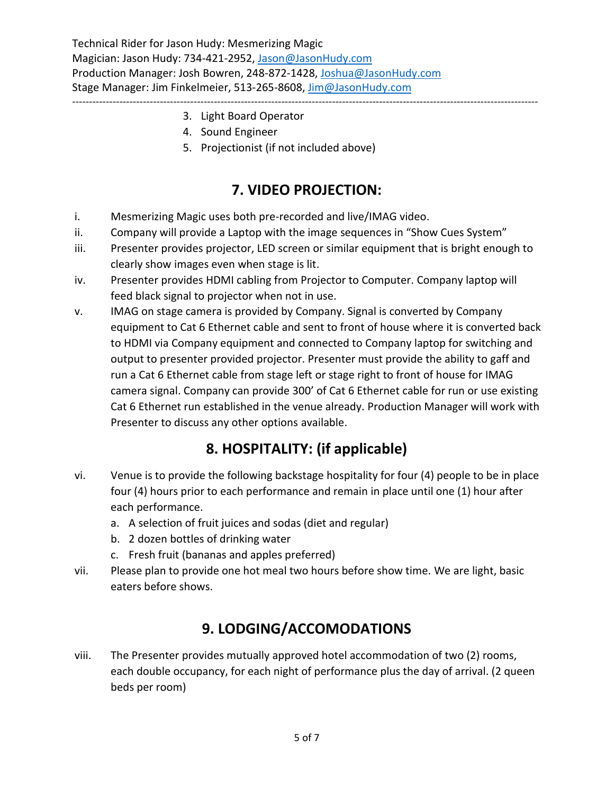Technical Rider for Jason Hudy: Mesmerizing Magic Magician: Jason Hudy: 734-421-2952, [Jason@JasonHudy.com](mailto:Jason@JasonHudy.com) Production Manager: Josh Bowren, 248-872-1428[, Joshua@JasonHudy.com](mailto:Joshua@JasonHudy.com) Stage Manager: Jim Finkelmeier, 513-265-8608, [Jim@JasonHudy.com](mailto:Jim@JasonHudy.com)

- ------------------------------------------------------------------------------------------------------------------------------------------ 3. Light Board Operator
	- 4. Sound Engineer
	- 5. Projectionist (if not included above)

#### **7. VIDEO PROJECTION:**

- i. Mesmerizing Magic uses both pre-recorded and live/IMAG video.
- ii. Company will provide a Laptop with the image sequences in "Show Cues System"
- iii. Presenter provides projector, LED screen or similar equipment that is bright enough to clearly show images even when stage is lit.
- iv. Presenter provides HDMI cabling from Projector to Computer. Company laptop will feed black signal to projector when not in use.
- v. IMAG on stage camera is provided by Company. Signal is converted by Company equipment to Cat 6 Ethernet cable and sent to front of house where it is converted back to HDMI via Company equipment and connected to Company laptop for switching and output to presenter provided projector. Presenter must provide the ability to gaff and run a Cat 6 Ethernet cable from stage left or stage right to front of house for IMAG camera signal. Company can provide 300' of Cat 6 Ethernet cable for run or use existing Cat 6 Ethernet run established in the venue already. Production Manager will work with Presenter to discuss any other options available.

#### **8. HOSPITALITY: (if applicable)**

- vi. Venue is to provide the following backstage hospitality for four (4) people to be in place four (4) hours prior to each performance and remain in place until one (1) hour after each performance.
	- a. A selection of fruit juices and sodas (diet and regular)
	- b. 2 dozen bottles of drinking water
	- c. Fresh fruit (bananas and apples preferred)
- vii. Please plan to provide one hot meal two hours before show time. We are light, basic eaters before shows.

#### **9. LODGING/ACCOMODATIONS**

viii. The Presenter provides mutually approved hotel accommodation of two (2) rooms, each double occupancy, for each night of performance plus the day of arrival. (2 queen beds per room)